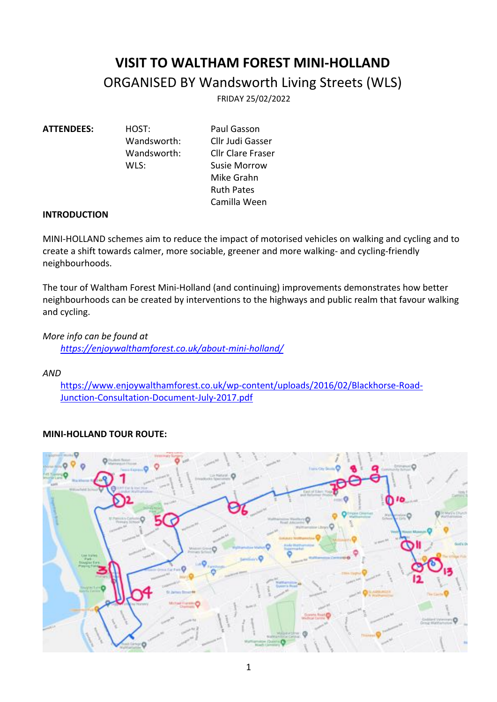# **VISIT TO WALTHAM FOREST MINI-HOLLAND** ORGANISED BY Wandsworth Living Streets (WLS)

FRIDAY 25/02/2022

**ATTENDEES:** HOST:Paul Gasson Wandsworth: Cllr Judi Gasser Wandsworth: Cllr Clare Fraser WLS: Susie Morrow Mike Grahn Ruth Pates Camilla Ween

## **INTRODUCTION**

MINI-HOLLAND schemes aim to reduce the impact of motorised vehicles on walking and cycling and to create a shift towards calmer, more sociable, greener and more walking- and cycling-friendly neighbourhoods.

The tour of Waltham Forest Mini-Holland (and continuing) improvements demonstrates how better neighbourhoods can be created by interventions to the highways and public realm that favour walking and cycling.

*More info can be found at*

*https://enjoywalthamforest.co.uk/about-mini-holland/*

*AND* 

https://www.enjoywalthamforest.co.uk/wp-content/uploads/2016/02/Blackhorse-Road-Junction-Consultation-Document-July-2017.pdf

# **MINI-HOLLAND TOUR ROUTE:**

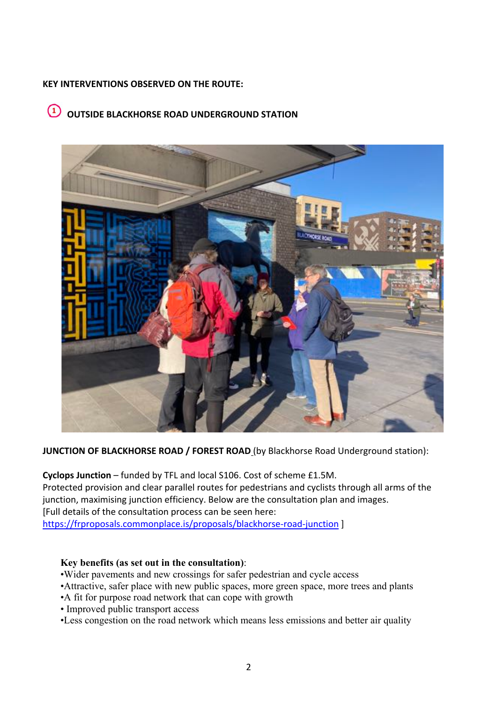# **KEY INTERVENTIONS OBSERVED ON THE ROUTE:**

# **OUTSIDE BLACKHORSE ROAD UNDERGROUND STATION**



**JUNCTION OF BLACKHORSE ROAD / FOREST ROAD** (by Blackhorse Road Underground station):

**Cyclops Junction** – funded by TFL and local S106. Cost of scheme £1.5M. Protected provision and clear parallel routes for pedestrians and cyclists through all arms of the junction, maximising junction efficiency. Below are the consultation plan and images. [Full details of the consultation process can be seen here: https://frproposals.commonplace.is/proposals/blackhorse-road-junction ]

## **Key benefits (as set out in the consultation)**:

- •Wider pavements and new crossings for safer pedestrian and cycle access
- •Attractive, safer place with new public spaces, more green space, more trees and plants
- •A fit for purpose road network that can cope with growth
- Improved public transport access
- •Less congestion on the road network which means less emissions and better air quality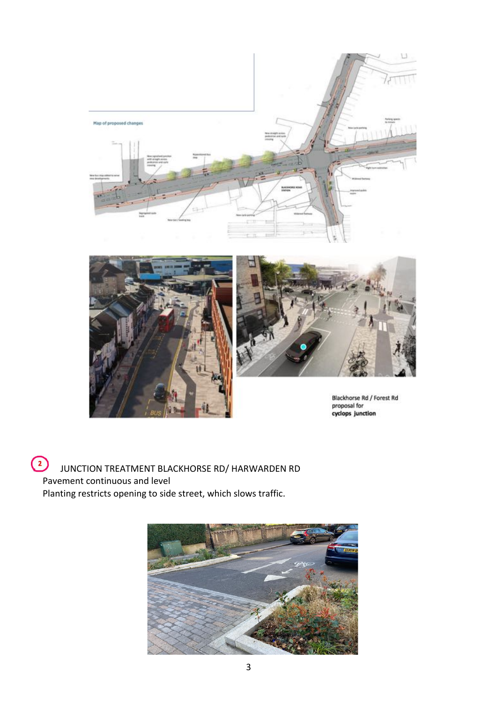





Blackhorse Rd / Forest Rd proposal for<br>cyclops junction

 $\bigodot$ JUNCTION TREATMENT BLACKHORSE RD/ HARWARDEN RD Pavement continuous and level Planting restricts opening to side street, which slows traffic.

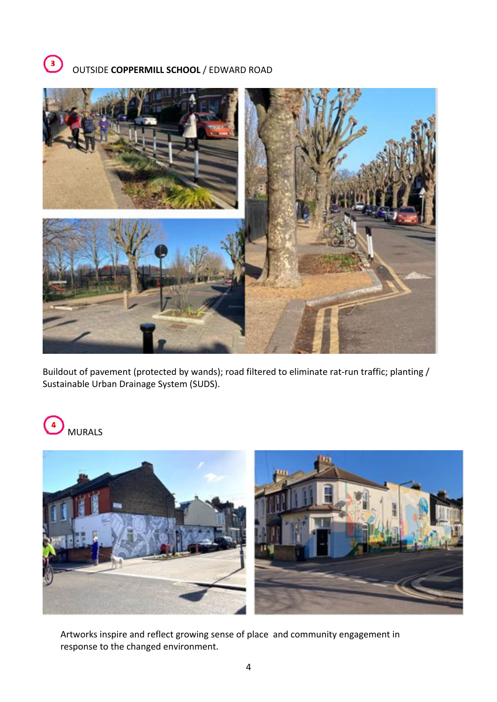



Buildout of pavement (protected by wands); road filtered to eliminate rat-run traffic; planting / Sustainable Urban Drainage System (SUDS).





Artworks inspire and reflect growing sense of place and community engagement in response to the changed environment.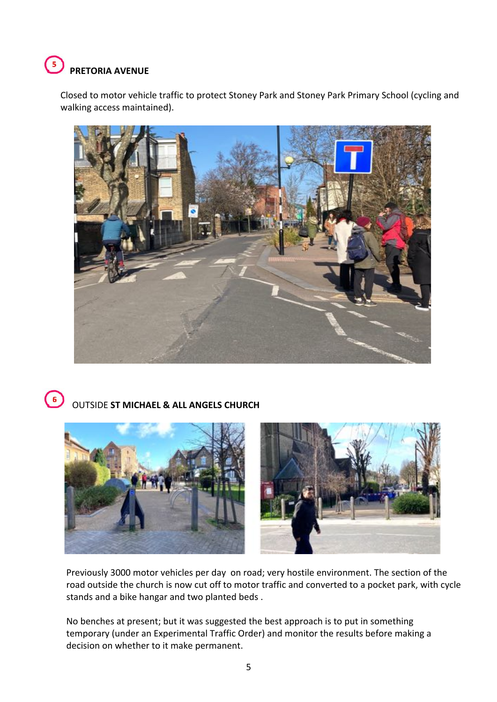#### $\left( \frac{1}{2} \right)$ **PRETORIA AVENUE**

Closed to motor vehicle traffic to protect Stoney Park and Stoney Park Primary School (cycling and walking access maintained).



#### $\left( 6\right)$ OUTSIDE **ST MICHAEL & ALL ANGELS CHURCH**



Previously 3000 motor vehicles per day on road; very hostile environment. The section of the road outside the church is now cut off to motor traffic and converted to a pocket park, with cycle stands and a bike hangar and two planted beds .

No benches at present; but it was suggested the best approach is to put in something temporary (under an Experimental Traffic Order) and monitor the results before making a decision on whether to it make permanent.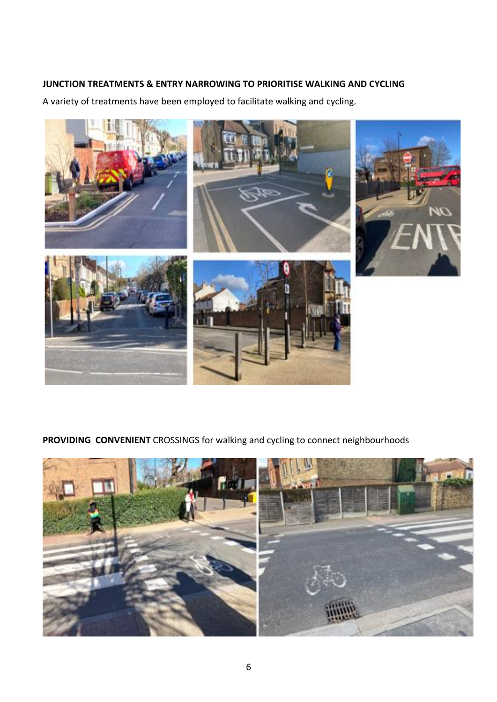# **JUNCTION TREATMENTS & ENTRY NARROWING TO PRIORITISE WALKING AND CYCLING**

A variety of treatments have been employed to facilitate walking and cycling.



**PROVIDING CONVENIENT** CROSSINGS for walking and cycling to connect neighbourhoods

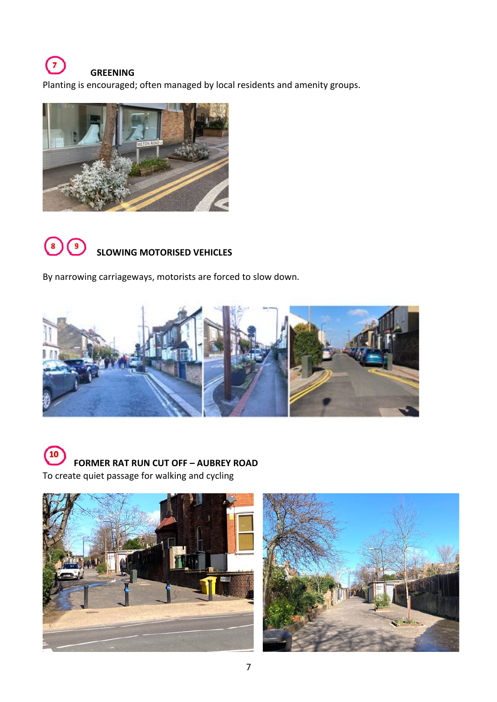# $\sqrt{ }$ **GREENING**

Planting is encouraged; often managed by local residents and amenity groups.





 **SLOWING MOTORISED VEHICLES**

By narrowing carriageways, motorists are forced to slow down.





 **FORMER RAT RUN CUT OFF – AUBREY ROAD** To create quiet passage for walking and cycling



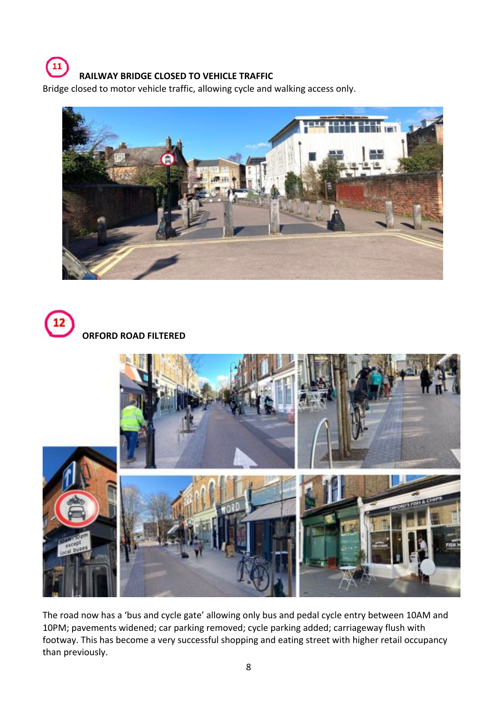# **RAILWAY BRIDGE CLOSED TO VEHICLE TRAFFIC**

Bridge closed to motor vehicle traffic, allowing cycle and walking access only.





 $\mathbf{u}$ 



The road now has a 'bus and cycle gate' allowing only bus and pedal cycle entry between 10AM and 10PM; pavements widened; car parking removed; cycle parking added; carriageway flush with footway. This has become a very successful shopping and eating street with higher retail occupancy than previously.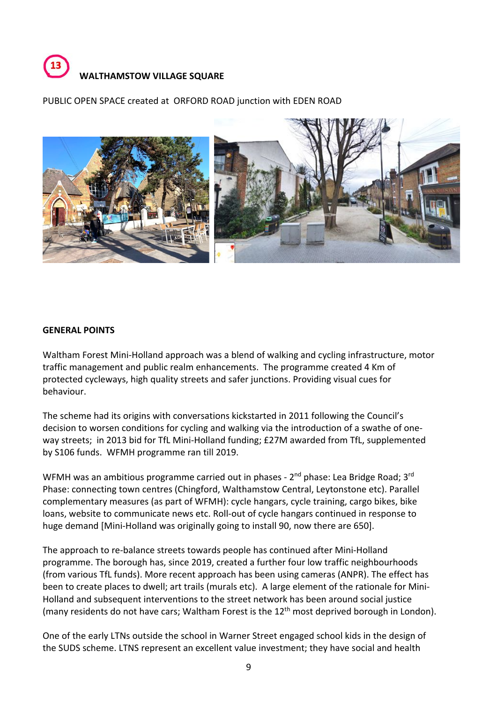

PUBLIC OPEN SPACE created at ORFORD ROAD junction with EDEN ROAD



## **GENERAL POINTS**

Waltham Forest Mini-Holland approach was a blend of walking and cycling infrastructure, motor traffic management and public realm enhancements. The programme created 4 Km of protected cycleways, high quality streets and safer junctions. Providing visual cues for behaviour.

The scheme had its origins with conversations kickstarted in 2011 following the Council's decision to worsen conditions for cycling and walking via the introduction of a swathe of oneway streets; in 2013 bid for TfL Mini-Holland funding; £27M awarded from TfL, supplemented by S106 funds. WFMH programme ran till 2019.

WFMH was an ambitious programme carried out in phases - 2<sup>nd</sup> phase: Lea Bridge Road; 3<sup>rd</sup> Phase: connecting town centres (Chingford, Walthamstow Central, Leytonstone etc). Parallel complementary measures (as part of WFMH): cycle hangars, cycle training, cargo bikes, bike loans, website to communicate news etc. Roll-out of cycle hangars continued in response to huge demand [Mini-Holland was originally going to install 90, now there are 650].

The approach to re-balance streets towards people has continued after Mini-Holland programme. The borough has, since 2019, created a further four low traffic neighbourhoods (from various TfL funds). More recent approach has been using cameras (ANPR). The effect has been to create places to dwell; art trails (murals etc). A large element of the rationale for Mini-Holland and subsequent interventions to the street network has been around social justice (many residents do not have cars; Waltham Forest is the  $12<sup>th</sup>$  most deprived borough in London).

One of the early LTNs outside the school in Warner Street engaged school kids in the design of the SUDS scheme. LTNS represent an excellent value investment; they have social and health